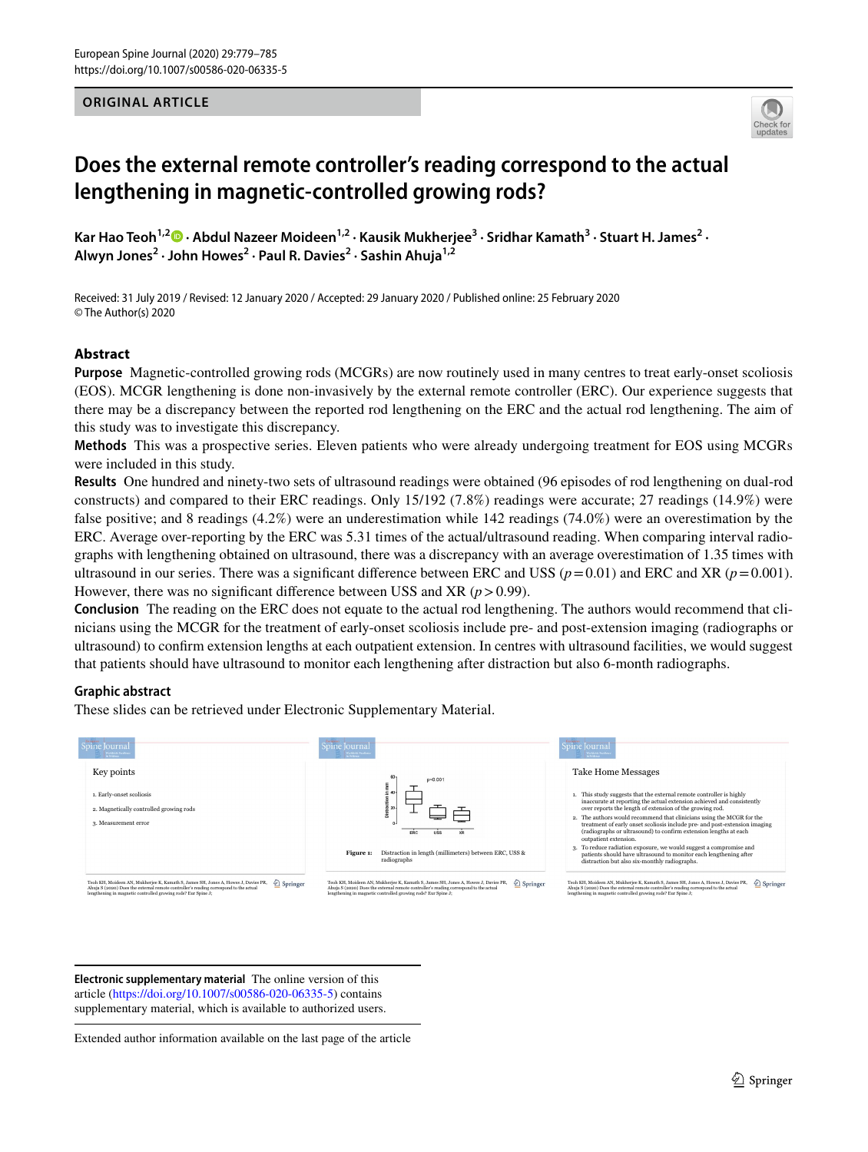#### **ORIGINAL ARTICLE**



# **Does the external remote controller's reading correspond to the actual lengthening in magnetic‑controlled growing rods?**

Kar Hao Teoh<sup>1,2</sup> D [·](http://orcid.org/0000-0002-1538-8760) Abdul Nazeer Moideen<sup>1,2</sup> · Kausik Mukherjee<sup>3</sup> · Sridhar Kamath<sup>3</sup> · Stuart H. James<sup>2</sup> · **Alwyn Jones2 · John Howes<sup>2</sup> · Paul R. Davies2 · Sashin Ahuja1,2**

Received: 31 July 2019 / Revised: 12 January 2020 / Accepted: 29 January 2020 / Published online: 25 February 2020 © The Author(s) 2020

## **Abstract**

**Purpose** Magnetic-controlled growing rods (MCGRs) are now routinely used in many centres to treat early-onset scoliosis (EOS). MCGR lengthening is done non-invasively by the external remote controller (ERC). Our experience suggests that there may be a discrepancy between the reported rod lengthening on the ERC and the actual rod lengthening. The aim of this study was to investigate this discrepancy.

**Methods** This was a prospective series. Eleven patients who were already undergoing treatment for EOS using MCGRs were included in this study.

**Results** One hundred and ninety-two sets of ultrasound readings were obtained (96 episodes of rod lengthening on dual-rod constructs) and compared to their ERC readings. Only 15/192 (7.8%) readings were accurate; 27 readings (14.9%) were false positive; and 8 readings (4.2%) were an underestimation while 142 readings (74.0%) were an overestimation by the ERC. Average over-reporting by the ERC was 5.31 times of the actual/ultrasound reading. When comparing interval radiographs with lengthening obtained on ultrasound, there was a discrepancy with an average overestimation of 1.35 times with ultrasound in our series. There was a significant difference between ERC and USS ( $p = 0.01$ ) and ERC and XR ( $p = 0.001$ ). However, there was no signifcant diference between USS and XR (*p*>0.99).

**Conclusion** The reading on the ERC does not equate to the actual rod lengthening. The authors would recommend that clinicians using the MCGR for the treatment of early-onset scoliosis include pre- and post-extension imaging (radiographs or ultrasound) to confrm extension lengths at each outpatient extension. In centres with ultrasound facilities, we would suggest that patients should have ultrasound to monitor each lengthening after distraction but also 6-month radiographs.

#### **Graphic abstract**

These slides can be retrieved under Electronic Supplementary Material.



**Electronic supplementary material** The online version of this article [\(https://doi.org/10.1007/s00586-020-06335-5\)](https://doi.org/10.1007/s00586-020-06335-5) contains supplementary material, which is available to authorized users.

Extended author information available on the last page of the article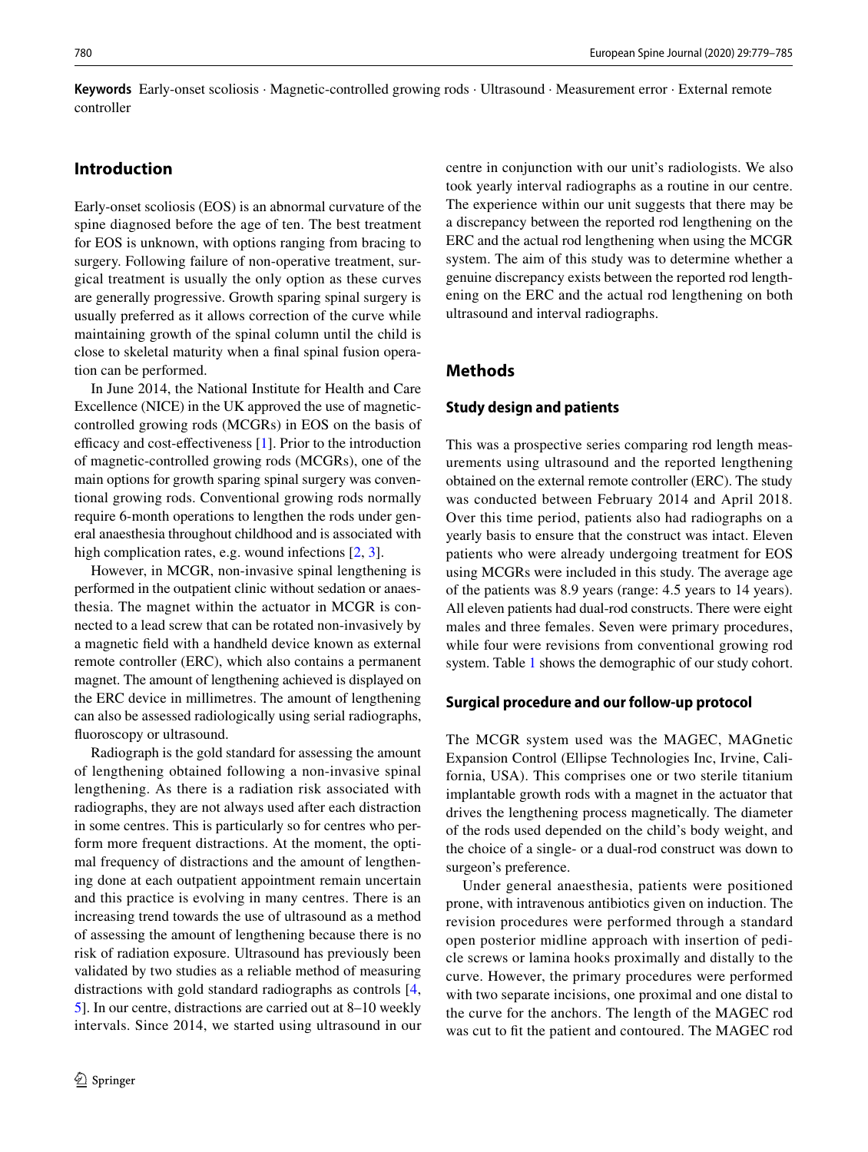**Keywords** Early-onset scoliosis · Magnetic-controlled growing rods · Ultrasound · Measurement error · External remote controller

## **Introduction**

Early-onset scoliosis (EOS) is an abnormal curvature of the spine diagnosed before the age of ten. The best treatment for EOS is unknown, with options ranging from bracing to surgery. Following failure of non-operative treatment, surgical treatment is usually the only option as these curves are generally progressive. Growth sparing spinal surgery is usually preferred as it allows correction of the curve while maintaining growth of the spinal column until the child is close to skeletal maturity when a fnal spinal fusion operation can be performed.

In June 2014, the National Institute for Health and Care Excellence (NICE) in the UK approved the use of magneticcontrolled growing rods (MCGRs) in EOS on the basis of efficacy and cost-effectiveness  $[1]$  $[1]$ . Prior to the introduction of magnetic-controlled growing rods (MCGRs), one of the main options for growth sparing spinal surgery was conventional growing rods. Conventional growing rods normally require 6-month operations to lengthen the rods under general anaesthesia throughout childhood and is associated with high complication rates, e.g. wound infections [[2,](#page-5-1) [3\]](#page-5-2).

However, in MCGR, non-invasive spinal lengthening is performed in the outpatient clinic without sedation or anaesthesia. The magnet within the actuator in MCGR is connected to a lead screw that can be rotated non-invasively by a magnetic feld with a handheld device known as external remote controller (ERC), which also contains a permanent magnet. The amount of lengthening achieved is displayed on the ERC device in millimetres. The amount of lengthening can also be assessed radiologically using serial radiographs, fuoroscopy or ultrasound.

Radiograph is the gold standard for assessing the amount of lengthening obtained following a non-invasive spinal lengthening. As there is a radiation risk associated with radiographs, they are not always used after each distraction in some centres. This is particularly so for centres who perform more frequent distractions. At the moment, the optimal frequency of distractions and the amount of lengthening done at each outpatient appointment remain uncertain and this practice is evolving in many centres. There is an increasing trend towards the use of ultrasound as a method of assessing the amount of lengthening because there is no risk of radiation exposure. Ultrasound has previously been validated by two studies as a reliable method of measuring distractions with gold standard radiographs as controls [[4,](#page-5-3) [5](#page-5-4)]. In our centre, distractions are carried out at 8–10 weekly intervals. Since 2014, we started using ultrasound in our centre in conjunction with our unit's radiologists. We also took yearly interval radiographs as a routine in our centre. The experience within our unit suggests that there may be a discrepancy between the reported rod lengthening on the ERC and the actual rod lengthening when using the MCGR system. The aim of this study was to determine whether a genuine discrepancy exists between the reported rod lengthening on the ERC and the actual rod lengthening on both ultrasound and interval radiographs.

## **Methods**

#### **Study design and patients**

This was a prospective series comparing rod length measurements using ultrasound and the reported lengthening obtained on the external remote controller (ERC). The study was conducted between February 2014 and April 2018. Over this time period, patients also had radiographs on a yearly basis to ensure that the construct was intact. Eleven patients who were already undergoing treatment for EOS using MCGRs were included in this study. The average age of the patients was 8.9 years (range: 4.5 years to 14 years). All eleven patients had dual-rod constructs. There were eight males and three females. Seven were primary procedures, while four were revisions from conventional growing rod system. Table [1](#page-2-0) shows the demographic of our study cohort.

#### **Surgical procedure and our follow‑up protocol**

The MCGR system used was the MAGEC, MAGnetic Expansion Control (Ellipse Technologies Inc, Irvine, California, USA). This comprises one or two sterile titanium implantable growth rods with a magnet in the actuator that drives the lengthening process magnetically. The diameter of the rods used depended on the child's body weight, and the choice of a single- or a dual-rod construct was down to surgeon's preference.

Under general anaesthesia, patients were positioned prone, with intravenous antibiotics given on induction. The revision procedures were performed through a standard open posterior midline approach with insertion of pedicle screws or lamina hooks proximally and distally to the curve. However, the primary procedures were performed with two separate incisions, one proximal and one distal to the curve for the anchors. The length of the MAGEC rod was cut to fit the patient and contoured. The MAGEC rod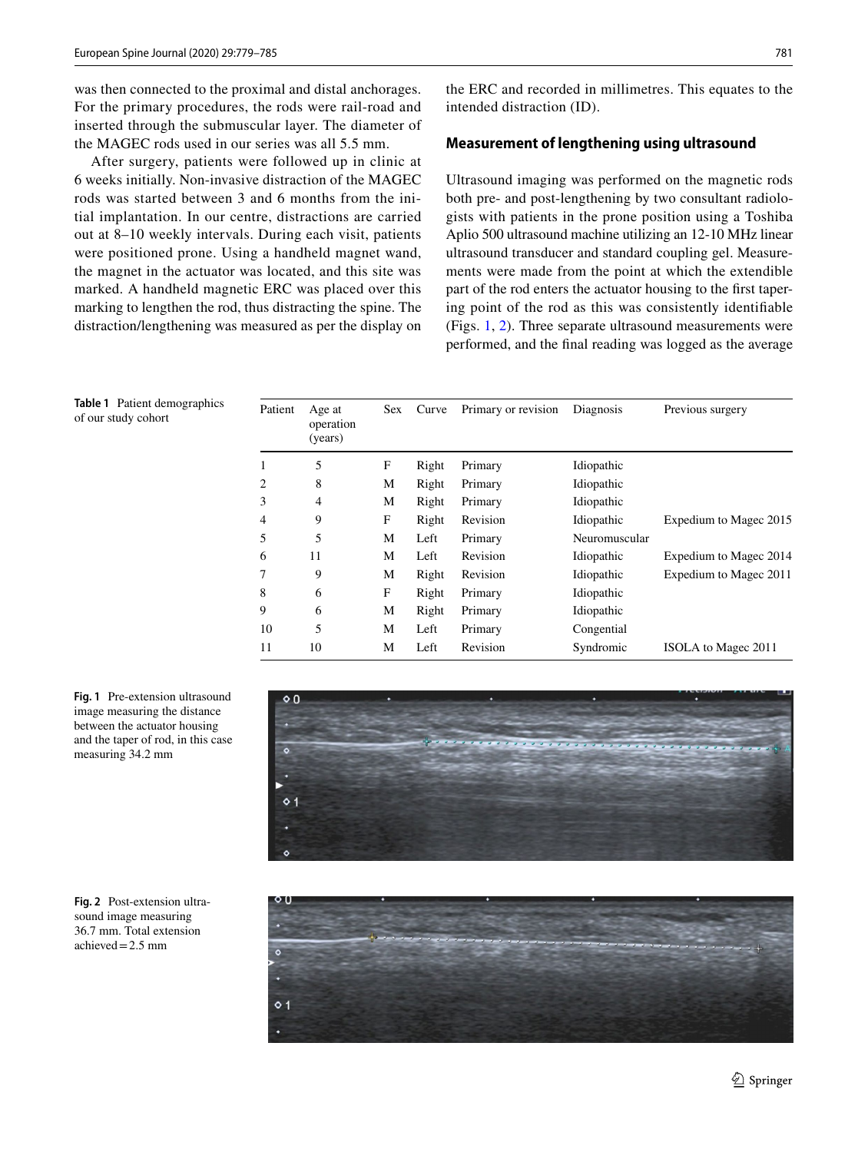was then connected to the proximal and distal anchorages. For the primary procedures, the rods were rail-road and inserted through the submuscular layer. The diameter of the MAGEC rods used in our series was all 5.5 mm.

After surgery, patients were followed up in clinic at 6 weeks initially. Non-invasive distraction of the MAGEC rods was started between 3 and 6 months from the initial implantation. In our centre, distractions are carried out at 8–10 weekly intervals. During each visit, patients were positioned prone. Using a handheld magnet wand, the magnet in the actuator was located, and this site was marked. A handheld magnetic ERC was placed over this marking to lengthen the rod, thus distracting the spine. The distraction/lengthening was measured as per the display on

the ERC and recorded in millimetres. This equates to the intended distraction (ID).

#### **Measurement of lengthening using ultrasound**

Ultrasound imaging was performed on the magnetic rods both pre- and post-lengthening by two consultant radiologists with patients in the prone position using a Toshiba Aplio 500 ultrasound machine utilizing an 12-10 MHz linear ultrasound transducer and standard coupling gel. Measurements were made from the point at which the extendible part of the rod enters the actuator housing to the frst tapering point of the rod as this was consistently identifable (Figs. [1](#page-2-1), [2\)](#page-2-2). Three separate ultrasound measurements were performed, and the fnal reading was logged as the average

| Patient        | Age at<br>operation<br>(years) | <b>Sex</b> | Curve | Primary or revision | Diagnosis     | Previous surgery       |
|----------------|--------------------------------|------------|-------|---------------------|---------------|------------------------|
|                | 5                              | F          | Right | Primary             | Idiopathic    |                        |
| $\overline{c}$ | 8                              | M          | Right | Primary             | Idiopathic    |                        |
| 3              | 4                              | М          | Right | Primary             | Idiopathic    |                        |
| 4              | 9                              | F          | Right | Revision            | Idiopathic    | Expedium to Magec 2015 |
| 5              | 5                              | M          | Left  | Primary             | Neuromuscular |                        |
| 6              | 11                             | M          | Left  | Revision            | Idiopathic    | Expedium to Magec 2014 |
| 7              | 9                              | М          | Right | Revision            | Idiopathic    | Expedium to Magec 2011 |
| 8              | 6                              | F          | Right | Primary             | Idiopathic    |                        |
| 9              | 6                              | М          | Right | Primary             | Idiopathic    |                        |
| 10             | 5                              | М          | Left  | Primary             | Congential    |                        |
| 11             | 10                             | М          | Left  | Revision            | Syndromic     | ISOLA to Magec 2011    |

**Fig. 1** Pre-extension ultrasound image measuring the distance between the actuator housing and the taper of rod, in this case measuring 34.2 mm

<span id="page-2-0"></span>**Table 1** Patient demographics

of our study cohort

<span id="page-2-1"></span>

**Fig. 2** Post-extension ultrasound image measuring 36.7 mm. Total extension achieved $=2.5$  mm

<span id="page-2-2"></span>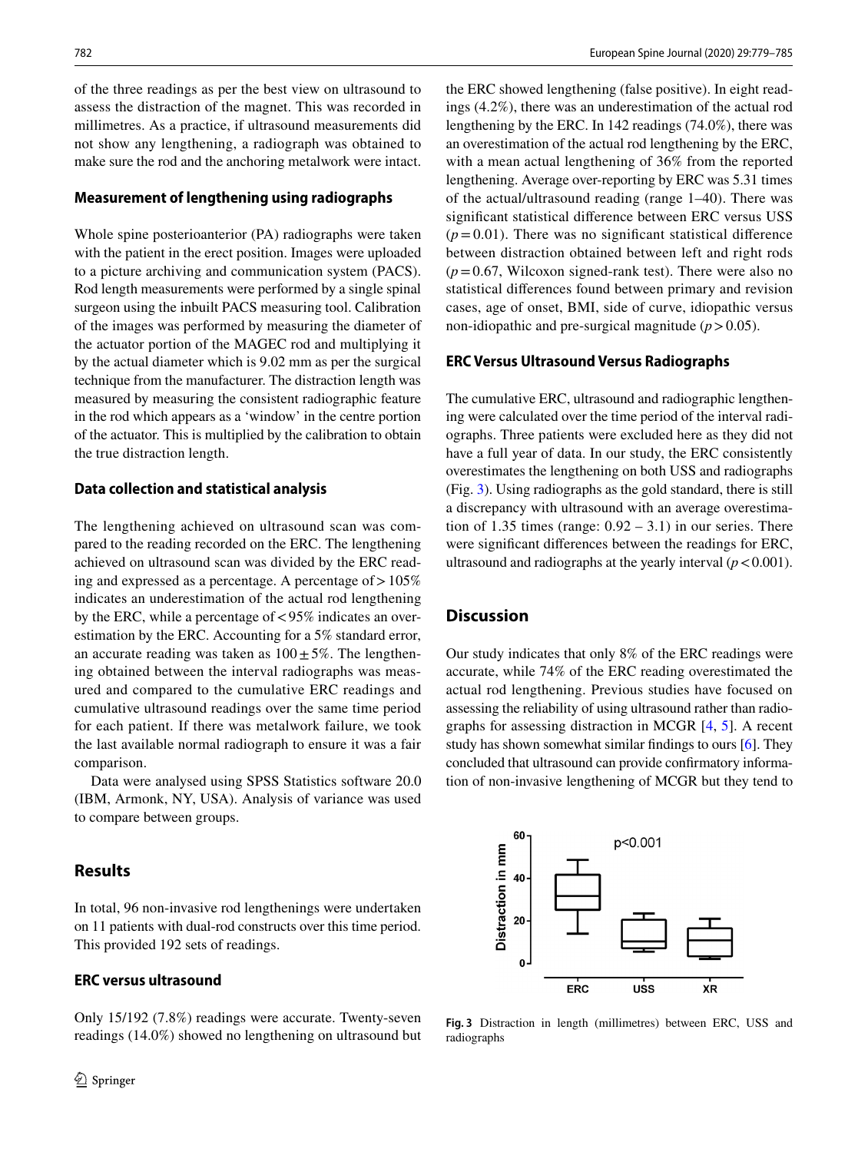of the three readings as per the best view on ultrasound to assess the distraction of the magnet. This was recorded in millimetres. As a practice, if ultrasound measurements did not show any lengthening, a radiograph was obtained to make sure the rod and the anchoring metalwork were intact.

#### **Measurement of lengthening using radiographs**

Whole spine posterioanterior (PA) radiographs were taken with the patient in the erect position. Images were uploaded to a picture archiving and communication system (PACS). Rod length measurements were performed by a single spinal surgeon using the inbuilt PACS measuring tool. Calibration of the images was performed by measuring the diameter of the actuator portion of the MAGEC rod and multiplying it by the actual diameter which is 9.02 mm as per the surgical technique from the manufacturer. The distraction length was measured by measuring the consistent radiographic feature in the rod which appears as a 'window' in the centre portion of the actuator. This is multiplied by the calibration to obtain the true distraction length.

#### **Data collection and statistical analysis**

The lengthening achieved on ultrasound scan was compared to the reading recorded on the ERC. The lengthening achieved on ultrasound scan was divided by the ERC reading and expressed as a percentage. A percentage of  $>105\%$ indicates an underestimation of the actual rod lengthening by the ERC, while a percentage of  $\lt 95\%$  indicates an overestimation by the ERC. Accounting for a 5% standard error, an accurate reading was taken as  $100 \pm 5\%$ . The lengthening obtained between the interval radiographs was measured and compared to the cumulative ERC readings and cumulative ultrasound readings over the same time period for each patient. If there was metalwork failure, we took the last available normal radiograph to ensure it was a fair comparison.

Data were analysed using SPSS Statistics software 20.0 (IBM, Armonk, NY, USA). Analysis of variance was used to compare between groups.

#### **Results**

In total, 96 non-invasive rod lengthenings were undertaken on 11 patients with dual-rod constructs over this time period. This provided 192 sets of readings.

### **ERC versus ultrasound**

Only 15/192 (7.8%) readings were accurate. Twenty-seven readings (14.0%) showed no lengthening on ultrasound but the ERC showed lengthening (false positive). In eight readings (4.2%), there was an underestimation of the actual rod lengthening by the ERC. In 142 readings (74.0%), there was an overestimation of the actual rod lengthening by the ERC, with a mean actual lengthening of 36% from the reported lengthening. Average over-reporting by ERC was 5.31 times of the actual/ultrasound reading (range 1–40). There was signifcant statistical diference between ERC versus USS  $(p=0.01)$ . There was no significant statistical difference between distraction obtained between left and right rods  $(p=0.67,$  Wilcoxon signed-rank test). There were also no statistical diferences found between primary and revision cases, age of onset, BMI, side of curve, idiopathic versus non-idiopathic and pre-surgical magnitude  $(p > 0.05)$ .

#### **ERC Versus Ultrasound Versus Radiographs**

The cumulative ERC, ultrasound and radiographic lengthening were calculated over the time period of the interval radiographs. Three patients were excluded here as they did not have a full year of data. In our study, the ERC consistently overestimates the lengthening on both USS and radiographs (Fig. [3](#page-3-0)). Using radiographs as the gold standard, there is still a discrepancy with ultrasound with an average overestimation of 1.35 times (range:  $0.92 - 3.1$ ) in our series. There were signifcant diferences between the readings for ERC, ultrasound and radiographs at the yearly interval  $(p < 0.001)$ .

## **Discussion**

Our study indicates that only 8% of the ERC readings were accurate, while 74% of the ERC reading overestimated the actual rod lengthening. Previous studies have focused on assessing the reliability of using ultrasound rather than radiographs for assessing distraction in MCGR [[4,](#page-5-3) [5](#page-5-4)]. A recent study has shown somewhat similar fndings to ours [\[6](#page-5-5)]. They concluded that ultrasound can provide confrmatory information of non-invasive lengthening of MCGR but they tend to



<span id="page-3-0"></span>**Fig. 3** Distraction in length (millimetres) between ERC, USS and radiographs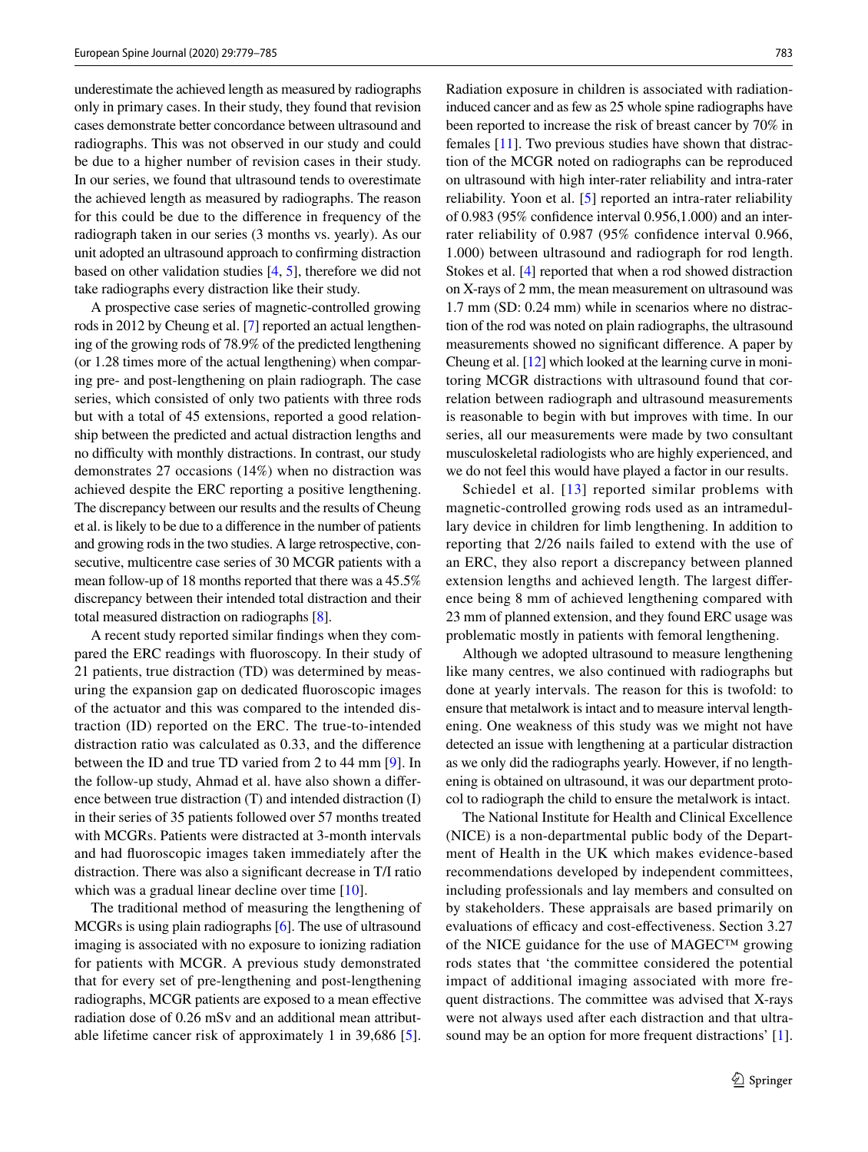underestimate the achieved length as measured by radiographs only in primary cases. In their study, they found that revision cases demonstrate better concordance between ultrasound and radiographs. This was not observed in our study and could be due to a higher number of revision cases in their study. In our series, we found that ultrasound tends to overestimate the achieved length as measured by radiographs. The reason for this could be due to the diference in frequency of the radiograph taken in our series (3 months vs. yearly). As our unit adopted an ultrasound approach to confrming distraction based on other validation studies [\[4](#page-5-3), [5](#page-5-4)], therefore we did not take radiographs every distraction like their study.

A prospective case series of magnetic-controlled growing rods in 2012 by Cheung et al. [\[7\]](#page-5-6) reported an actual lengthening of the growing rods of 78.9% of the predicted lengthening (or 1.28 times more of the actual lengthening) when comparing pre- and post-lengthening on plain radiograph. The case series, which consisted of only two patients with three rods but with a total of 45 extensions, reported a good relationship between the predicted and actual distraction lengths and no difficulty with monthly distractions. In contrast, our study demonstrates 27 occasions (14%) when no distraction was achieved despite the ERC reporting a positive lengthening. The discrepancy between our results and the results of Cheung et al. is likely to be due to a diference in the number of patients and growing rods in the two studies. A large retrospective, consecutive, multicentre case series of 30 MCGR patients with a mean follow-up of 18 months reported that there was a 45.5% discrepancy between their intended total distraction and their total measured distraction on radiographs [\[8](#page-5-7)].

A recent study reported similar fndings when they compared the ERC readings with fuoroscopy. In their study of 21 patients, true distraction (TD) was determined by measuring the expansion gap on dedicated fuoroscopic images of the actuator and this was compared to the intended distraction (ID) reported on the ERC. The true-to-intended distraction ratio was calculated as 0.33, and the diference between the ID and true TD varied from 2 to 44 mm [\[9](#page-5-8)]. In the follow-up study, Ahmad et al. have also shown a diference between true distraction (T) and intended distraction (I) in their series of 35 patients followed over 57 months treated with MCGRs. Patients were distracted at 3-month intervals and had fuoroscopic images taken immediately after the distraction. There was also a signifcant decrease in T/I ratio which was a gradual linear decline over time [\[10\]](#page-5-9).

The traditional method of measuring the lengthening of MCGRs is using plain radiographs [[6\]](#page-5-5). The use of ultrasound imaging is associated with no exposure to ionizing radiation for patients with MCGR. A previous study demonstrated that for every set of pre-lengthening and post-lengthening radiographs, MCGR patients are exposed to a mean efective radiation dose of 0.26 mSv and an additional mean attributable lifetime cancer risk of approximately 1 in 39,686 [\[5](#page-5-4)].

Radiation exposure in children is associated with radiationinduced cancer and as few as 25 whole spine radiographs have been reported to increase the risk of breast cancer by 70% in females [[11\]](#page-5-10). Two previous studies have shown that distraction of the MCGR noted on radiographs can be reproduced on ultrasound with high inter-rater reliability and intra-rater reliability. Yoon et al. [\[5](#page-5-4)] reported an intra-rater reliability of 0.983 (95% confdence interval 0.956,1.000) and an interrater reliability of 0.987 (95% confdence interval 0.966, 1.000) between ultrasound and radiograph for rod length. Stokes et al. [[4\]](#page-5-3) reported that when a rod showed distraction on X-rays of 2 mm, the mean measurement on ultrasound was 1.7 mm (SD: 0.24 mm) while in scenarios where no distraction of the rod was noted on plain radiographs, the ultrasound measurements showed no signifcant diference. A paper by Cheung et al. [\[12\]](#page-5-11) which looked at the learning curve in monitoring MCGR distractions with ultrasound found that correlation between radiograph and ultrasound measurements is reasonable to begin with but improves with time. In our series, all our measurements were made by two consultant musculoskeletal radiologists who are highly experienced, and we do not feel this would have played a factor in our results.

Schiedel et al. [[13](#page-5-12)] reported similar problems with magnetic-controlled growing rods used as an intramedullary device in children for limb lengthening. In addition to reporting that 2/26 nails failed to extend with the use of an ERC, they also report a discrepancy between planned extension lengths and achieved length. The largest diference being 8 mm of achieved lengthening compared with 23 mm of planned extension, and they found ERC usage was problematic mostly in patients with femoral lengthening.

Although we adopted ultrasound to measure lengthening like many centres, we also continued with radiographs but done at yearly intervals. The reason for this is twofold: to ensure that metalwork is intact and to measure interval lengthening. One weakness of this study was we might not have detected an issue with lengthening at a particular distraction as we only did the radiographs yearly. However, if no lengthening is obtained on ultrasound, it was our department protocol to radiograph the child to ensure the metalwork is intact.

The National Institute for Health and Clinical Excellence (NICE) is a non-departmental public body of the Department of Health in the UK which makes evidence-based recommendations developed by independent committees, including professionals and lay members and consulted on by stakeholders. These appraisals are based primarily on evaluations of efficacy and cost-effectiveness. Section 3.27 of the NICE guidance for the use of MAGEC™ growing rods states that 'the committee considered the potential impact of additional imaging associated with more frequent distractions. The committee was advised that X-rays were not always used after each distraction and that ultrasound may be an option for more frequent distractions' [\[1](#page-5-0)].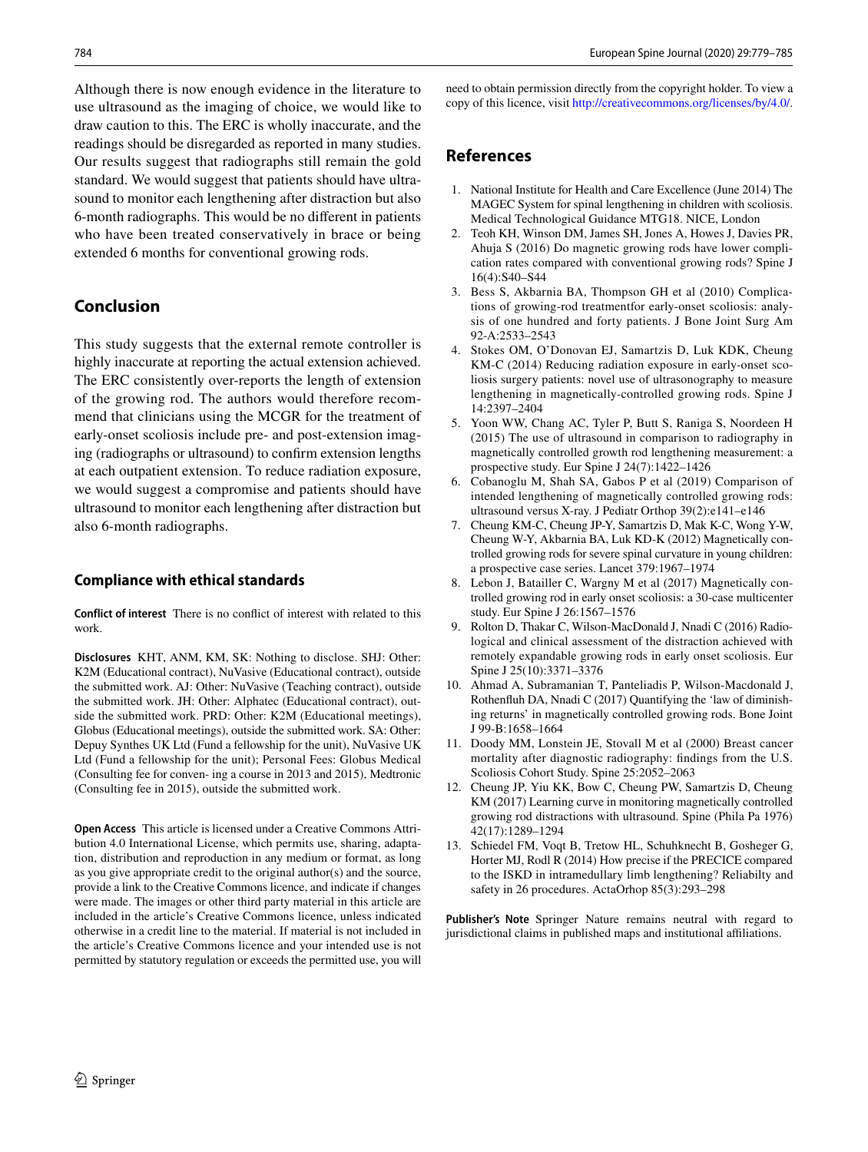Although there is now enough evidence in the literature to use ultrasound as the imaging of choice, we would like to draw caution to this. The ERC is wholly inaccurate, and the readings should be disregarded as reported in many studies. Our results suggest that radiographs still remain the gold standard. We would suggest that patients should have ultrasound to monitor each lengthening after distraction but also 6-month radiographs. This would be no diferent in patients who have been treated conservatively in brace or being extended 6 months for conventional growing rods.

## **Conclusion**

This study suggests that the external remote controller is highly inaccurate at reporting the actual extension achieved. The ERC consistently over-reports the length of extension of the growing rod. The authors would therefore recommend that clinicians using the MCGR for the treatment of early-onset scoliosis include pre- and post-extension imaging (radiographs or ultrasound) to confrm extension lengths at each outpatient extension. To reduce radiation exposure, we would suggest a compromise and patients should have ultrasound to monitor each lengthening after distraction but also 6-month radiographs.

#### **Compliance with ethical standards**

**Conflict of interest** There is no confict of interest with related to this work.

**Disclosures** KHT, ANM, KM, SK: Nothing to disclose. SHJ: Other: K2M (Educational contract), NuVasive (Educational contract), outside the submitted work. AJ: Other: NuVasive (Teaching contract), outside the submitted work. JH: Other: Alphatec (Educational contract), outside the submitted work. PRD: Other: K2M (Educational meetings), Globus (Educational meetings), outside the submitted work. SA: Other: Depuy Synthes UK Ltd (Fund a fellowship for the unit), NuVasive UK Ltd (Fund a fellowship for the unit); Personal Fees: Globus Medical (Consulting fee for conven- ing a course in 2013 and 2015), Medtronic (Consulting fee in 2015), outside the submitted work.

**Open Access** This article is licensed under a Creative Commons Attribution 4.0 International License, which permits use, sharing, adaptation, distribution and reproduction in any medium or format, as long as you give appropriate credit to the original author(s) and the source, provide a link to the Creative Commons licence, and indicate if changes were made. The images or other third party material in this article are included in the article's Creative Commons licence, unless indicated otherwise in a credit line to the material. If material is not included in the article's Creative Commons licence and your intended use is not permitted by statutory regulation or exceeds the permitted use, you will need to obtain permission directly from the copyright holder. To view a copy of this licence, visit<http://creativecommons.org/licenses/by/4.0/>.

## **References**

- <span id="page-5-0"></span>1. National Institute for Health and Care Excellence (June 2014) The MAGEC System for spinal lengthening in children with scoliosis. Medical Technological Guidance MTG18. NICE, London
- <span id="page-5-1"></span>2. Teoh KH, Winson DM, James SH, Jones A, Howes J, Davies PR, Ahuja S (2016) Do magnetic growing rods have lower complication rates compared with conventional growing rods? Spine J 16(4):S40–S44
- <span id="page-5-2"></span>3. Bess S, Akbarnia BA, Thompson GH et al (2010) Complications of growing-rod treatmentfor early-onset scoliosis: analysis of one hundred and forty patients. J Bone Joint Surg Am 92-A:2533–2543
- <span id="page-5-3"></span>4. Stokes OM, O'Donovan EJ, Samartzis D, Luk KDK, Cheung KM-C (2014) Reducing radiation exposure in early-onset scoliosis surgery patients: novel use of ultrasonography to measure lengthening in magnetically-controlled growing rods. Spine J 14:2397–2404
- <span id="page-5-4"></span>5. Yoon WW, Chang AC, Tyler P, Butt S, Raniga S, Noordeen H (2015) The use of ultrasound in comparison to radiography in magnetically controlled growth rod lengthening measurement: a prospective study. Eur Spine J 24(7):1422–1426
- <span id="page-5-5"></span>6. Cobanoglu M, Shah SA, Gabos P et al (2019) Comparison of intended lengthening of magnetically controlled growing rods: ultrasound versus X-ray. J Pediatr Orthop 39(2):e141–e146
- <span id="page-5-6"></span>7. Cheung KM-C, Cheung JP-Y, Samartzis D, Mak K-C, Wong Y-W, Cheung W-Y, Akbarnia BA, Luk KD-K (2012) Magnetically controlled growing rods for severe spinal curvature in young children: a prospective case series. Lancet 379:1967–1974
- <span id="page-5-7"></span>8. Lebon J, Batailler C, Wargny M et al (2017) Magnetically controlled growing rod in early onset scoliosis: a 30-case multicenter study. Eur Spine J 26:1567–1576
- <span id="page-5-8"></span>9. Rolton D, Thakar C, Wilson-MacDonald J, Nnadi C (2016) Radiological and clinical assessment of the distraction achieved with remotely expandable growing rods in early onset scoliosis. Eur Spine J 25(10):3371–3376
- <span id="page-5-9"></span>10. Ahmad A, Subramanian T, Panteliadis P, Wilson-Macdonald J, Rothenfuh DA, Nnadi C (2017) Quantifying the 'law of diminishing returns' in magnetically controlled growing rods. Bone Joint J 99-B:1658–1664
- <span id="page-5-10"></span>11. Doody MM, Lonstein JE, Stovall M et al (2000) Breast cancer mortality after diagnostic radiography: fndings from the U.S. Scoliosis Cohort Study. Spine 25:2052–2063
- <span id="page-5-11"></span>12. Cheung JP, Yiu KK, Bow C, Cheung PW, Samartzis D, Cheung KM (2017) Learning curve in monitoring magnetically controlled growing rod distractions with ultrasound. Spine (Phila Pa 1976) 42(17):1289–1294
- <span id="page-5-12"></span>13. Schiedel FM, Voqt B, Tretow HL, Schuhknecht B, Gosheger G, Horter MJ, Rodl R (2014) How precise if the PRECICE compared to the ISKD in intramedullary limb lengthening? Reliabilty and safety in 26 procedures. ActaOrhop 85(3):293–298

**Publisher's Note** Springer Nature remains neutral with regard to jurisdictional claims in published maps and institutional afliations.